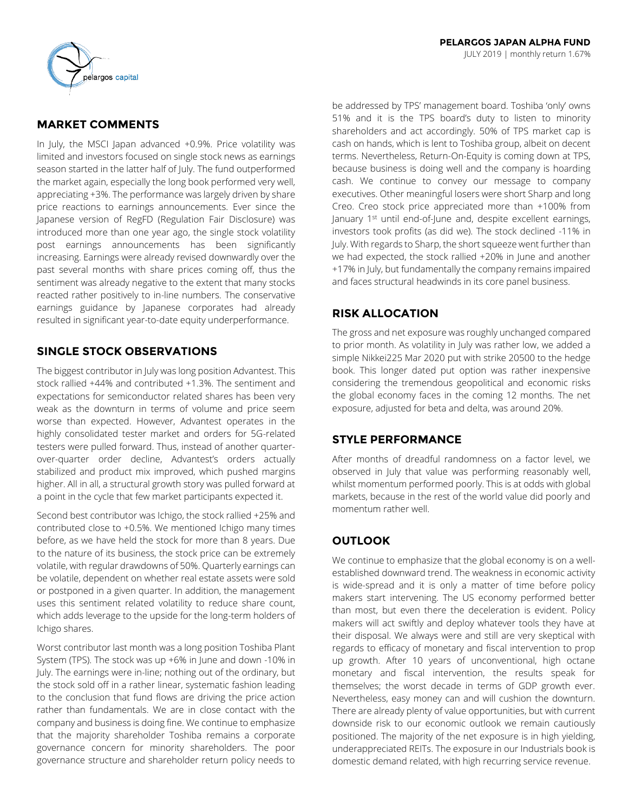

In July, the MSCI Japan advanced +0.9%. Price volatility was limited and investors focused on single stock news as earnings season started in the latter half of July. The fund outperformed the market again, especially the long book performed very well, appreciating +3%. The performance was largely driven by share price reactions to earnings announcements. Ever since the Japanese version of RegFD (Regulation Fair Disclosure) was introduced more than one year ago, the single stock volatility post earnings announcements has been significantly increasing. Earnings were already revised downwardly over the past several months with share prices coming off, thus the sentiment was already negative to the extent that many stocks reacted rather positively to in-line numbers. The conservative earnings guidance by Japanese corporates had already resulted in significant year-to-date equity underperformance.

# **SINGLE STOCK OBSERVATIONS**

The biggest contributor in July was long position Advantest. This stock rallied +44% and contributed +1.3%. The sentiment and expectations for semiconductor related shares has been very weak as the downturn in terms of volume and price seem worse than expected. However, Advantest operates in the highly consolidated tester market and orders for 5G-related testers were pulled forward. Thus, instead of another quarterover-quarter order decline, Advantest's orders actually stabilized and product mix improved, which pushed margins higher. All in all, a structural growth story was pulled forward at a point in the cycle that few market participants expected it.

Second best contributor was Ichigo, the stock rallied +25% and contributed close to +0.5%. We mentioned Ichigo many times before, as we have held the stock for more than 8 years. Due to the nature of its business, the stock price can be extremely volatile, with regular drawdowns of 50%. Quarterly earnings can be volatile, dependent on whether real estate assets were sold or postponed in a given quarter. In addition, the management uses this sentiment related volatility to reduce share count, which adds leverage to the upside for the long-term holders of Ichigo shares.

Worst contributor last month was a long position Toshiba Plant System (TPS). The stock was up +6% in June and down -10% in July. The earnings were in-line; nothing out of the ordinary, but the stock sold off in a rather linear, systematic fashion leading to the conclusion that fund flows are driving the price action rather than fundamentals. We are in close contact with the company and business is doing fine. We continue to emphasize that the majority shareholder Toshiba remains a corporate governance concern for minority shareholders. The poor governance structure and shareholder return policy needs to

be addressed by TPS' management board. Toshiba 'only' owns 51% and it is the TPS board's duty to listen to minority shareholders and act accordingly. 50% of TPS market cap is cash on hands, which is lent to Toshiba group, albeit on decent terms. Nevertheless, Return-On-Equity is coming down at TPS, because business is doing well and the company is hoarding cash. We continue to convey our message to company executives. Other meaningful losers were short Sharp and long Creo. Creo stock price appreciated more than +100% from January 1st until end-of-June and, despite excellent earnings, investors took profits (as did we). The stock declined -11% in July. With regards to Sharp, the short squeeze went further than we had expected, the stock rallied +20% in June and another +17% in July, but fundamentally the company remains impaired and faces structural headwinds in its core panel business.

# **RISK ALLOCATION**

The gross and net exposure was roughly unchanged compared to prior month. As volatility in July was rather low, we added a simple Nikkei225 Mar 2020 put with strike 20500 to the hedge book. This longer dated put option was rather inexpensive considering the tremendous geopolitical and economic risks the global economy faces in the coming 12 months. The net exposure, adjusted for beta and delta, was around 20%.

# **STYLE PERFORMANCE**

After months of dreadful randomness on a factor level, we observed in July that value was performing reasonably well, whilst momentum performed poorly. This is at odds with global markets, because in the rest of the world value did poorly and momentum rather well.

# **OUTLOOK**

We continue to emphasize that the global economy is on a wellestablished downward trend. The weakness in economic activity is wide-spread and it is only a matter of time before policy makers start intervening. The US economy performed better than most, but even there the deceleration is evident. Policy makers will act swiftly and deploy whatever tools they have at their disposal. We always were and still are very skeptical with regards to efficacy of monetary and fiscal intervention to prop up growth. After 10 years of unconventional, high octane monetary and fiscal intervention, the results speak for themselves; the worst decade in terms of GDP growth ever. Nevertheless, easy money can and will cushion the downturn. There are already plenty of value opportunities, but with current downside risk to our economic outlook we remain cautiously positioned. The majority of the net exposure is in high yielding, underappreciated REITs. The exposure in our Industrials book is domestic demand related, with high recurring service revenue.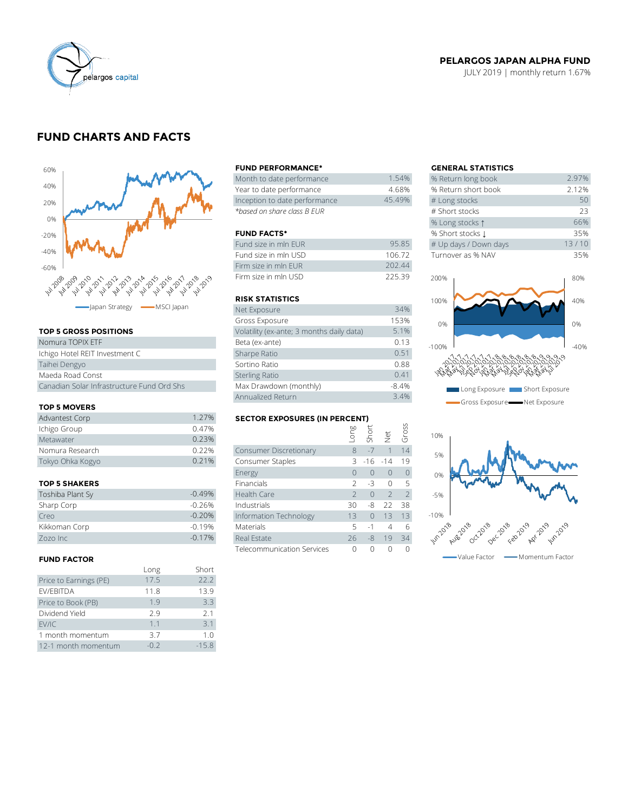

## **PELARGOS JAPAN ALPHA FUND**

JULY 2019 | monthly return 1.67%

# **FUND CHARTS AND FACTS**



#### **TOP 5 GROSS POSITIONS**

| Nomura TOPIX ETF                           | Beta (ex-ante)         |
|--------------------------------------------|------------------------|
| Ichigo Hotel REIT Investment C             | Sharpe Ratio           |
| Taihei Dengyo                              | Sortino Ratio          |
| Maeda Road Const                           | <b>Sterling Ratio</b>  |
| Canadian Solar Infrastructure Fund Ord Shs | Max Drawdown (monthly) |

#### **TOP 5 MOVERS**

| Canadian Solar Infrastructure Fund Ord Shs |       | Max Drawdown (monthly)                          | $-8.4%$              |           |  |
|--------------------------------------------|-------|-------------------------------------------------|----------------------|-----------|--|
|                                            |       | Annualized Return                               |                      | 3.4%      |  |
| <b>TOP 5 MOVERS</b>                        |       |                                                 |                      |           |  |
| Advantest Corp                             | 1.27% | <b>SECTOR EXPOSURES (IN PERCENT)</b>            |                      |           |  |
| Ichigo Group                               | 0.47% | suo-<br>Shor                                    |                      | aross     |  |
| Metawater                                  | 0.23% |                                                 | $\frac{1}{\sqrt{2}}$ |           |  |
| Nomura Research                            | 0.22% | Consumer Discretionary<br>$\mathcal{R}$<br>$-7$ |                      | 14        |  |
| Tokyo Ohka Kogyo                           | 0.21% | Consumer Staples<br>$3 - 16 - 14$               |                      | 19        |  |
|                                            |       | Energy                                          | $\Omega$             | $\bigcap$ |  |
|                                            |       |                                                 |                      |           |  |

#### **TOP 5 SHAKERS**

| Toshiba Plant Sy | $-0.49%$ |
|------------------|----------|
| Sharp Corp       | $-0.26%$ |
| Creo             | $-0.20%$ |
| Kikkoman Corp    | $-0.19%$ |
| Zozo Inc         | $-0.17%$ |

#### **FUND FACTOR**

|                        | Long   | Short          |
|------------------------|--------|----------------|
| Price to Earnings (PE) | 17.5   | 22.2           |
| EV/EBITDA              | 11.8   | 13.9           |
| Price to Book (PB)     | 1.9    | 3.3            |
| Dividend Yield         | 2.9    | 2.1            |
| EV/IC                  | 1.1    | 3.1            |
| 1 month momentum       | 3.7    | 1 <sub>0</sub> |
| 12-1 month momentum    | $-0.2$ | $-15.8$        |

#### **FUND PERFORMANCE\* GENERAL STATISTICS**

| Month to date performance     | 1.54%  | % Return long book  |
|-------------------------------|--------|---------------------|
| Year to date performance      | 4.68%  | % Return short book |
| Inception to date performance | 45.49% | # Long stocks       |
| *based on share class B EUR   |        | # Short stocks      |

#### **FUND FACTS\***

| Fund size in mln FUR | 95.85  | # Up days / Down days |
|----------------------|--------|-----------------------|
| Fund size in mln USD | 106 72 | Turnover as % NAV     |
| Firm size in mln FUR | 202.44 |                       |
| Firm size in mln USD | 22539  | 200%                  |

### **RISK STATISTICS**

| Net Exposure                              | 34%     |
|-------------------------------------------|---------|
| Gross Exposure                            | 153%    |
| Volatility (ex-ante; 3 months daily data) | 5.1%    |
| Beta (ex-ante)                            | 0.13    |
| Sharpe Ratio                              | 0.51    |
| Sortino Ratio                             | 0.88    |
| <b>Sterling Ratio</b>                     | 0.41    |
| Max Drawdown (monthly)                    | $-8.4%$ |
| Annualized Return                         | 34%     |

#### **SECTOR EXPOSURES (IN PERCENT)**

| Ichigo Group         | 0.47%    |                            | Long | Short    |                   | Gross    |
|----------------------|----------|----------------------------|------|----------|-------------------|----------|
| Metawater            | 0.23%    |                            |      |          | $rac{\vec{v}}{2}$ |          |
| Nomura Research      | 0.22%    | Consumer Discretionary     | 8    | $-7$     |                   | 14       |
| Tokyo Ohka Kogyo     | 0.21%    | Consumer Staples           | 3.   | $-16$    | $-14$             | 19       |
|                      |          | Energy                     | 0    | $\Omega$ | $\bigcap$         | $\Omega$ |
| <b>TOP 5 SHAKERS</b> |          | Financials                 |      | $-3$     | $\Omega$          |          |
| Toshiba Plant Sy     | $-0.49%$ | Health Care                |      | $\Omega$ | $\overline{z}$    |          |
| Sharp Corp           | $-0.26%$ | Industrials                | 30   | -8       | 22                | 38       |
| Creo                 | $-0.20%$ | Information Technology     | 13   | $\Omega$ | 13                | 13       |
| Kikkoman Corp        | $-0.19%$ | <b>Materials</b>           | 5    | $-1$     | $\overline{4}$    | 6        |
| Zozo Inc             | $-0.17%$ | Real Estate                | 26   | $-8$     | 19                | 34       |
|                      |          | Telecommunication Services | 0    | $\Omega$ |                   | ∩        |
|                      |          |                            |      |          |                   |          |

| <b>GENERAL STATISTICS</b> |       |
|---------------------------|-------|
| % Return long book        | 2.97% |
| % Return short book       | 2.12% |
| # Long stocks             | 50    |
| # Short stocks            | 23    |
| % Long stocks 1           | 66%   |
| % Short stocks 1          | 35%   |
| # Up days / Down days     | 13/10 |
| Turnover as % NAV         | 35%   |